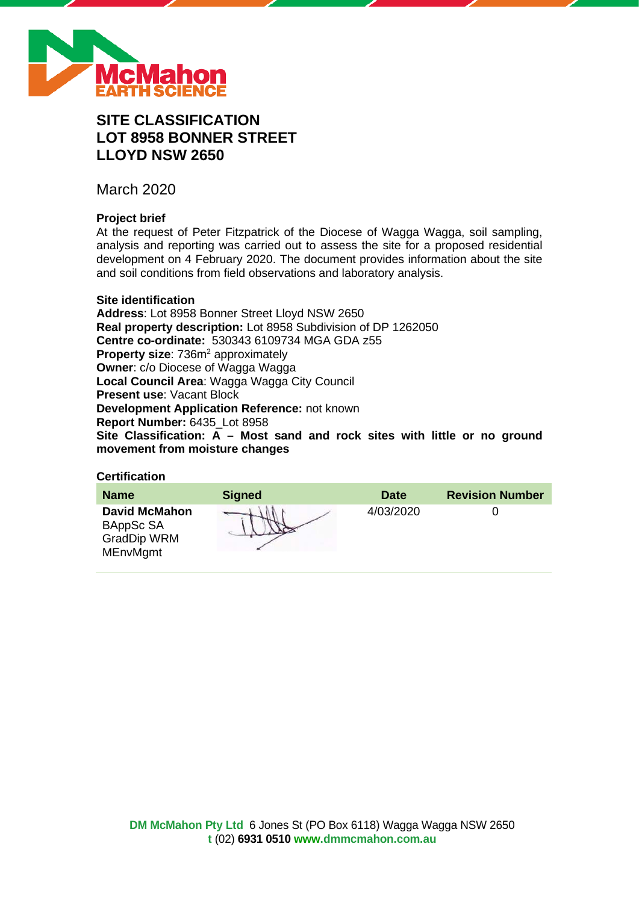

# **SITE CLASSIFICATION LOT 8958 BONNER STREET LLOYD NSW 2650**

March 2020

# **Project brief**

At the request of Peter Fitzpatrick of the Diocese of Wagga Wagga, soil sampling, analysis and reporting was carried out to assess the site for a proposed residential development on 4 February 2020. The document provides information about the site and soil conditions from field observations and laboratory analysis.

### **Site identification**

**Address**: Lot 8958 Bonner Street Lloyd NSW 2650 **Real property description:** Lot 8958 Subdivision of DP 1262050 **Centre co-ordinate:** 530343 6109734 MGA GDA z55 **Property size: 736m<sup>2</sup> approximately Owner**: c/o Diocese of Wagga Wagga **Local Council Area**: Wagga Wagga City Council **Present use**: Vacant Block **Development Application Reference:** not known **Report Number:** 6435\_Lot 8958 **Site Classification: A – Most sand and rock sites with little or no ground movement from moisture changes**

### **Certification**

| <b>Name</b>                                                                | <b>Signed</b> | <b>Date</b> | <b>Revision Number</b> |
|----------------------------------------------------------------------------|---------------|-------------|------------------------|
| <b>David McMahon</b><br>BAppSc SA<br><b>GradDip WRM</b><br><b>MEnvMgmt</b> |               | 4/03/2020   |                        |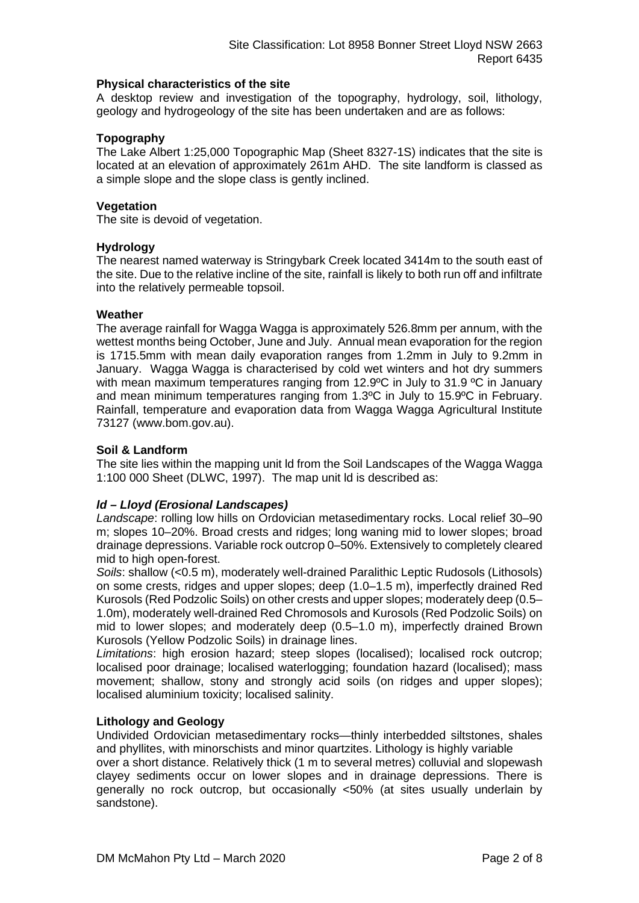### **Physical characteristics of the site**

A desktop review and investigation of the topography, hydrology, soil, lithology, geology and hydrogeology of the site has been undertaken and are as follows:

### **Topography**

The Lake Albert 1:25,000 Topographic Map (Sheet 8327-1S) indicates that the site is located at an elevation of approximately 261m AHD. The site landform is classed as a simple slope and the slope class is gently inclined.

### **Vegetation**

The site is devoid of vegetation.

### **Hydrology**

The nearest named waterway is Stringybark Creek located 3414m to the south east of the site. Due to the relative incline of the site, rainfall is likely to both run off and infiltrate into the relatively permeable topsoil.

### **Weather**

The average rainfall for Wagga Wagga is approximately 526.8mm per annum, with the wettest months being October, June and July. Annual mean evaporation for the region is 1715.5mm with mean daily evaporation ranges from 1.2mm in July to 9.2mm in January. Wagga Wagga is characterised by cold wet winters and hot dry summers with mean maximum temperatures ranging from 12.9°C in July to 31.9 °C in January and mean minimum temperatures ranging from 1.3ºC in July to 15.9ºC in February. Rainfall, temperature and evaporation data from Wagga Wagga Agricultural Institute 73127 (www.bom.gov.au).

### **Soil & Landform**

The site lies within the mapping unit ld from the Soil Landscapes of the Wagga Wagga 1:100 000 Sheet (DLWC, 1997). The map unit ld is described as:

### *ld – Lloyd (Erosional Landscapes)*

*Landscape*: rolling low hills on Ordovician metasedimentary rocks. Local relief 30–90 m; slopes 10–20%. Broad crests and ridges; long waning mid to lower slopes; broad drainage depressions. Variable rock outcrop 0–50%. Extensively to completely cleared mid to high open-forest.

*Soils*: shallow (<0.5 m), moderately well-drained Paralithic Leptic Rudosols (Lithosols) on some crests, ridges and upper slopes; deep (1.0–1.5 m), imperfectly drained Red Kurosols (Red Podzolic Soils) on other crests and upper slopes; moderately deep (0.5– 1.0m), moderately well-drained Red Chromosols and Kurosols (Red Podzolic Soils) on mid to lower slopes; and moderately deep (0.5–1.0 m), imperfectly drained Brown Kurosols (Yellow Podzolic Soils) in drainage lines.

*Limitations*: high erosion hazard; steep slopes (localised); localised rock outcrop; localised poor drainage; localised waterlogging; foundation hazard (localised); mass movement; shallow, stony and strongly acid soils (on ridges and upper slopes); localised aluminium toxicity; localised salinity.

### **Lithology and Geology**

Undivided Ordovician metasedimentary rocks—thinly interbedded siltstones, shales and phyllites, with minorschists and minor quartzites. Lithology is highly variable

over a short distance. Relatively thick (1 m to several metres) colluvial and slopewash clayey sediments occur on lower slopes and in drainage depressions. There is generally no rock outcrop, but occasionally <50% (at sites usually underlain by sandstone).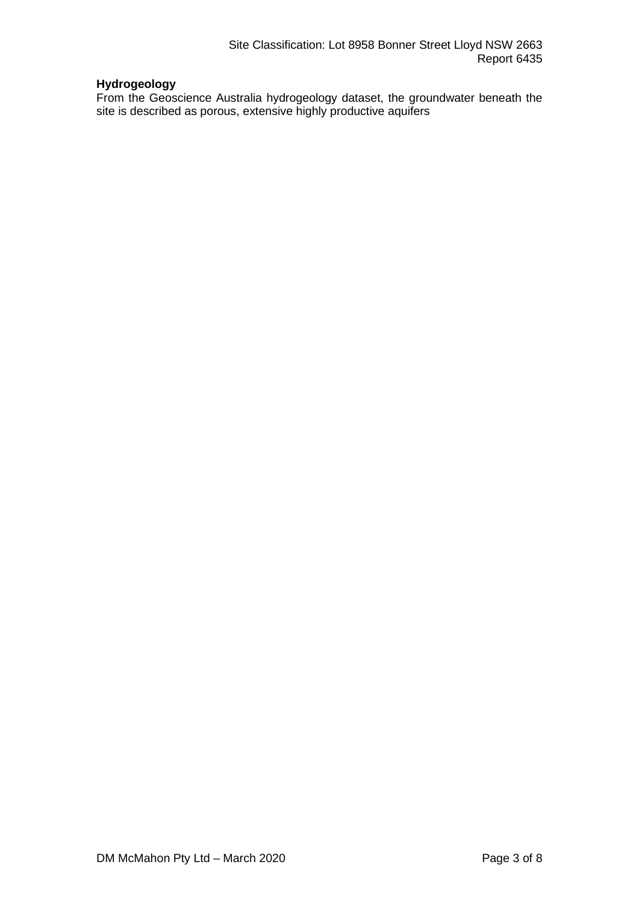# **Hydrogeology**

From the Geoscience Australia hydrogeology dataset, the groundwater beneath the site is described as porous, extensive highly productive aquifers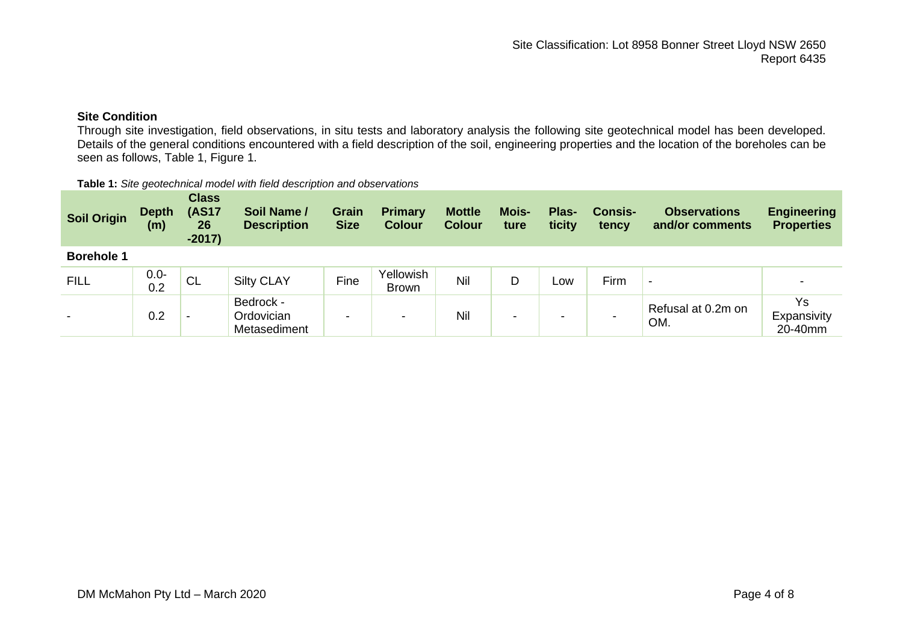# **Site Condition**

Through site investigation, field observations, in situ tests and laboratory analysis the following site geotechnical model has been developed. Details of the general conditions encountered with a field description of the soil, engineering properties and the location of the boreholes can be seen as follows, Table 1, Figure 1.

#### **Table 1:** *Site geotechnical model with field description and observations*

| <b>Soil Origin</b>       | <b>Depth</b><br>(m) | <b>Class</b><br><b>(AS17</b><br>26<br>$-2017)$ | Soil Name /<br><b>Description</b>       | <b>Grain</b><br><b>Size</b> | <b>Primary</b><br><b>Colour</b> | <b>Mottle</b><br><b>Colour</b> | <b>Mois-</b><br>ture | Plas-<br>ticity | <b>Consis-</b><br>tency | <b>Observations</b><br>and/or comments | <b>Engineering</b><br><b>Properties</b> |
|--------------------------|---------------------|------------------------------------------------|-----------------------------------------|-----------------------------|---------------------------------|--------------------------------|----------------------|-----------------|-------------------------|----------------------------------------|-----------------------------------------|
| <b>Borehole 1</b>        |                     |                                                |                                         |                             |                                 |                                |                      |                 |                         |                                        |                                         |
| <b>FILL</b>              | $0.0 -$<br>0.2      | <b>CL</b>                                      | <b>Silty CLAY</b>                       | Fine                        | Yellowish<br><b>Brown</b>       | Nil                            | D                    | Low             | Firm                    | $\blacksquare$                         |                                         |
| $\overline{\phantom{0}}$ | 0.2                 | $\overline{\phantom{0}}$                       | Bedrock -<br>Ordovician<br>Metasediment | -                           | $\overline{\phantom{a}}$        | Nil                            | -                    | -               |                         | Refusal at 0.2m on<br>OM.              | Ys<br>Expansivity<br>20-40mm            |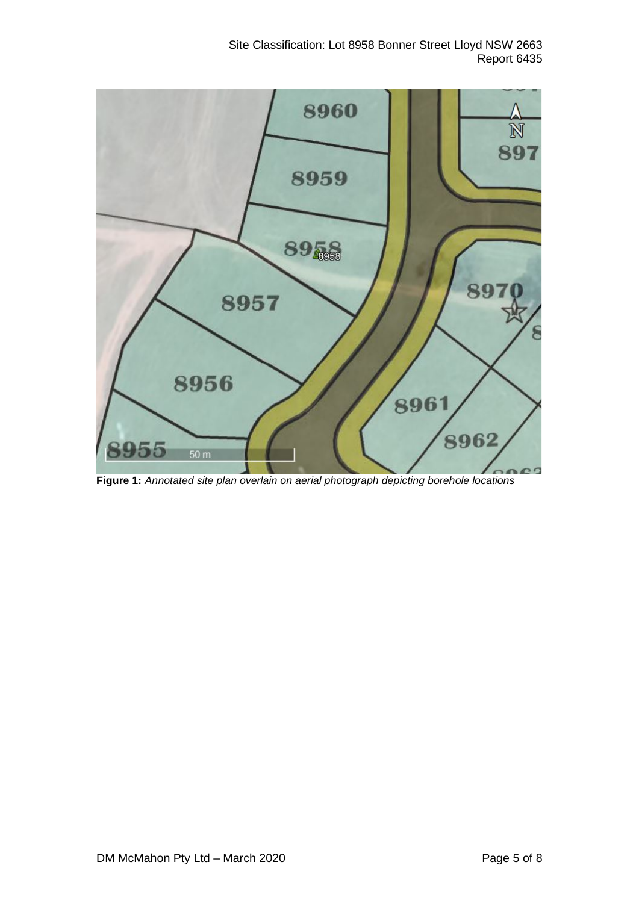

**Figure 1:** *Annotated site plan overlain on aerial photograph depicting borehole locations*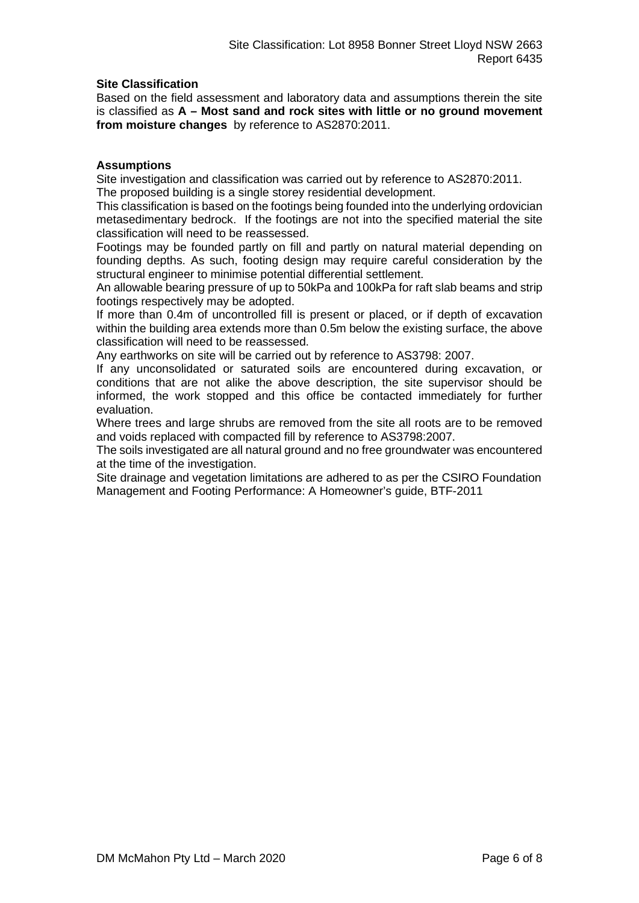### **Site Classification**

Based on the field assessment and laboratory data and assumptions therein the site is classified as **A – Most sand and rock sites with little or no ground movement from moisture changes** by reference to AS2870:2011.

### **Assumptions**

Site investigation and classification was carried out by reference to AS2870:2011. The proposed building is a single storey residential development.

This classification is based on the footings being founded into the underlying ordovician metasedimentary bedrock. If the footings are not into the specified material the site classification will need to be reassessed.

Footings may be founded partly on fill and partly on natural material depending on founding depths. As such, footing design may require careful consideration by the structural engineer to minimise potential differential settlement.

An allowable bearing pressure of up to 50kPa and 100kPa for raft slab beams and strip footings respectively may be adopted.

If more than 0.4m of uncontrolled fill is present or placed, or if depth of excavation within the building area extends more than 0.5m below the existing surface, the above classification will need to be reassessed.

Any earthworks on site will be carried out by reference to AS3798: 2007.

If any unconsolidated or saturated soils are encountered during excavation, or conditions that are not alike the above description, the site supervisor should be informed, the work stopped and this office be contacted immediately for further evaluation.

Where trees and large shrubs are removed from the site all roots are to be removed and voids replaced with compacted fill by reference to AS3798:2007.

The soils investigated are all natural ground and no free groundwater was encountered at the time of the investigation.

Site drainage and vegetation limitations are adhered to as per the CSIRO Foundation Management and Footing Performance: A Homeowner's guide, BTF-2011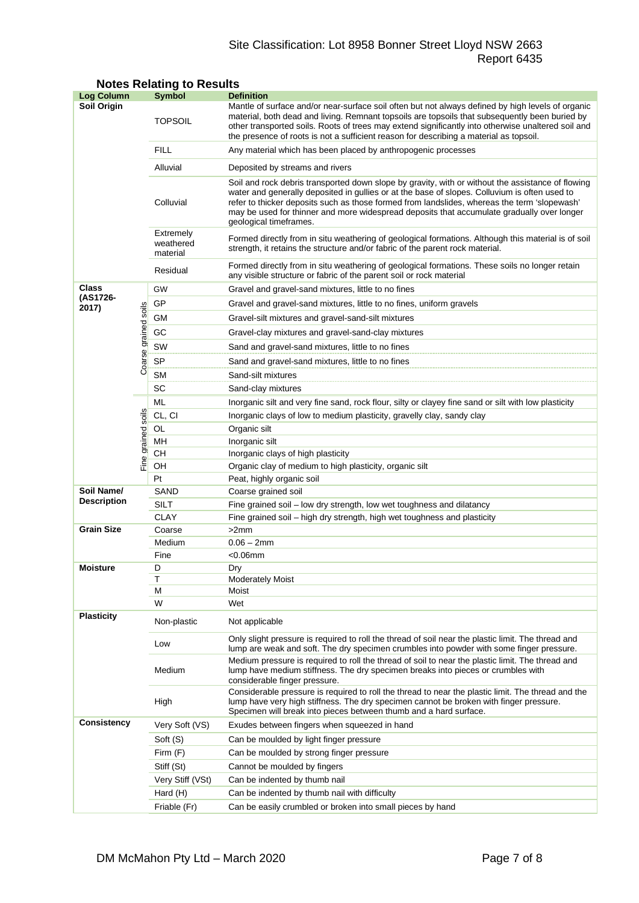# Site Classification: Lot 8958 Bonner Street Lloyd NSW 2663 Report 6435

| <b>Log Column</b>  |                      | <b>Symbol</b>                                                                                                                                                                                                              | <b>Definition</b>                                                                                                                                                                                                                                                                                                                                                                                                          |  |  |  |  |
|--------------------|----------------------|----------------------------------------------------------------------------------------------------------------------------------------------------------------------------------------------------------------------------|----------------------------------------------------------------------------------------------------------------------------------------------------------------------------------------------------------------------------------------------------------------------------------------------------------------------------------------------------------------------------------------------------------------------------|--|--|--|--|
| <b>Soil Origin</b> |                      | <b>TOPSOIL</b>                                                                                                                                                                                                             | Mantle of surface and/or near-surface soil often but not always defined by high levels of organic<br>material, both dead and living. Remnant topsoils are topsoils that subsequently been buried by<br>other transported soils. Roots of trees may extend significantly into otherwise unaltered soil and<br>the presence of roots is not a sufficient reason for describing a material as topsoil.                        |  |  |  |  |
|                    |                      | <b>FILL</b>                                                                                                                                                                                                                | Any material which has been placed by anthropogenic processes                                                                                                                                                                                                                                                                                                                                                              |  |  |  |  |
|                    |                      | Alluvial                                                                                                                                                                                                                   | Deposited by streams and rivers                                                                                                                                                                                                                                                                                                                                                                                            |  |  |  |  |
|                    |                      | Colluvial                                                                                                                                                                                                                  | Soil and rock debris transported down slope by gravity, with or without the assistance of flowing<br>water and generally deposited in gullies or at the base of slopes. Colluvium is often used to<br>refer to thicker deposits such as those formed from landslides, whereas the term 'slopewash'<br>may be used for thinner and more widespread deposits that accumulate gradually over longer<br>geological timeframes. |  |  |  |  |
|                    |                      | Extremely<br>Formed directly from in situ weathering of geological formations. Although this material is of soil<br>weathered<br>strength, it retains the structure and/or fabric of the parent rock material.<br>material |                                                                                                                                                                                                                                                                                                                                                                                                                            |  |  |  |  |
|                    |                      | Residual                                                                                                                                                                                                                   | Formed directly from in situ weathering of geological formations. These soils no longer retain<br>any visible structure or fabric of the parent soil or rock material                                                                                                                                                                                                                                                      |  |  |  |  |
| Class              |                      | GW                                                                                                                                                                                                                         | Gravel and gravel-sand mixtures, little to no fines                                                                                                                                                                                                                                                                                                                                                                        |  |  |  |  |
| (AS1726-<br>2017)  |                      | GP                                                                                                                                                                                                                         | Gravel and gravel-sand mixtures, little to no fines, uniform gravels                                                                                                                                                                                                                                                                                                                                                       |  |  |  |  |
|                    |                      | GМ                                                                                                                                                                                                                         | Gravel-silt mixtures and gravel-sand-silt mixtures                                                                                                                                                                                                                                                                                                                                                                         |  |  |  |  |
|                    |                      | GC                                                                                                                                                                                                                         | Gravel-clay mixtures and gravel-sand-clay mixtures                                                                                                                                                                                                                                                                                                                                                                         |  |  |  |  |
|                    |                      | SW                                                                                                                                                                                                                         | Sand and gravel-sand mixtures, little to no fines                                                                                                                                                                                                                                                                                                                                                                          |  |  |  |  |
|                    | Coarse grained soils | <b>SP</b>                                                                                                                                                                                                                  | Sand and gravel-sand mixtures, little to no fines                                                                                                                                                                                                                                                                                                                                                                          |  |  |  |  |
|                    |                      | <b>SM</b>                                                                                                                                                                                                                  | Sand-silt mixtures                                                                                                                                                                                                                                                                                                                                                                                                         |  |  |  |  |
|                    |                      | SC                                                                                                                                                                                                                         | Sand-clay mixtures                                                                                                                                                                                                                                                                                                                                                                                                         |  |  |  |  |
|                    |                      | ML                                                                                                                                                                                                                         | Inorganic silt and very fine sand, rock flour, silty or clayey fine sand or silt with low plasticity                                                                                                                                                                                                                                                                                                                       |  |  |  |  |
|                    | soils                | CL, CI                                                                                                                                                                                                                     | Inorganic clays of low to medium plasticity, gravelly clay, sandy clay                                                                                                                                                                                                                                                                                                                                                     |  |  |  |  |
|                    |                      | OL                                                                                                                                                                                                                         | Organic silt                                                                                                                                                                                                                                                                                                                                                                                                               |  |  |  |  |
|                    |                      | MН                                                                                                                                                                                                                         | Inorganic silt                                                                                                                                                                                                                                                                                                                                                                                                             |  |  |  |  |
|                    | Fine grained         | CН                                                                                                                                                                                                                         | Inorganic clays of high plasticity                                                                                                                                                                                                                                                                                                                                                                                         |  |  |  |  |
|                    |                      | OН                                                                                                                                                                                                                         | Organic clay of medium to high plasticity, organic silt                                                                                                                                                                                                                                                                                                                                                                    |  |  |  |  |
|                    |                      | Pt                                                                                                                                                                                                                         | Peat, highly organic soil                                                                                                                                                                                                                                                                                                                                                                                                  |  |  |  |  |
| Soil Name/         |                      | SAND                                                                                                                                                                                                                       | Coarse grained soil                                                                                                                                                                                                                                                                                                                                                                                                        |  |  |  |  |
| <b>Description</b> |                      | SILT                                                                                                                                                                                                                       | Fine grained soil - low dry strength, low wet toughness and dilatancy                                                                                                                                                                                                                                                                                                                                                      |  |  |  |  |
|                    |                      | <b>CLAY</b>                                                                                                                                                                                                                | Fine grained soil – high dry strength, high wet toughness and plasticity                                                                                                                                                                                                                                                                                                                                                   |  |  |  |  |
| <b>Grain Size</b>  |                      | Coarse                                                                                                                                                                                                                     | >2mm                                                                                                                                                                                                                                                                                                                                                                                                                       |  |  |  |  |
|                    |                      | Medium                                                                                                                                                                                                                     | $0.06 - 2mm$                                                                                                                                                                                                                                                                                                                                                                                                               |  |  |  |  |
| <b>Moisture</b>    |                      | Fine<br>D                                                                                                                                                                                                                  | $<$ 0.06 $mm$<br>Dry                                                                                                                                                                                                                                                                                                                                                                                                       |  |  |  |  |
|                    |                      | Т                                                                                                                                                                                                                          | <b>Moderately Moist</b>                                                                                                                                                                                                                                                                                                                                                                                                    |  |  |  |  |
|                    |                      | М                                                                                                                                                                                                                          | Moist                                                                                                                                                                                                                                                                                                                                                                                                                      |  |  |  |  |
|                    |                      | W                                                                                                                                                                                                                          | Wet                                                                                                                                                                                                                                                                                                                                                                                                                        |  |  |  |  |
| <b>Plasticity</b>  |                      | Non-plastic                                                                                                                                                                                                                | Not applicable                                                                                                                                                                                                                                                                                                                                                                                                             |  |  |  |  |
|                    |                      | Low                                                                                                                                                                                                                        | Only slight pressure is required to roll the thread of soil near the plastic limit. The thread and<br>lump are weak and soft. The dry specimen crumbles into powder with some finger pressure.                                                                                                                                                                                                                             |  |  |  |  |
|                    |                      | Medium                                                                                                                                                                                                                     | Medium pressure is required to roll the thread of soil to near the plastic limit. The thread and<br>lump have medium stiffness. The dry specimen breaks into pieces or crumbles with<br>considerable finger pressure.                                                                                                                                                                                                      |  |  |  |  |
|                    |                      | High                                                                                                                                                                                                                       | Considerable pressure is required to roll the thread to near the plastic limit. The thread and the<br>lump have very high stiffness. The dry specimen cannot be broken with finger pressure.<br>Specimen will break into pieces between thumb and a hard surface.                                                                                                                                                          |  |  |  |  |
| <b>Consistency</b> |                      | Very Soft (VS)                                                                                                                                                                                                             | Exudes between fingers when squeezed in hand                                                                                                                                                                                                                                                                                                                                                                               |  |  |  |  |
|                    |                      | Soft (S)                                                                                                                                                                                                                   | Can be moulded by light finger pressure                                                                                                                                                                                                                                                                                                                                                                                    |  |  |  |  |
|                    |                      | Firm (F)                                                                                                                                                                                                                   | Can be moulded by strong finger pressure                                                                                                                                                                                                                                                                                                                                                                                   |  |  |  |  |
|                    |                      | Stiff (St)                                                                                                                                                                                                                 | Cannot be moulded by fingers                                                                                                                                                                                                                                                                                                                                                                                               |  |  |  |  |
|                    |                      | Very Stiff (VSt)                                                                                                                                                                                                           | Can be indented by thumb nail                                                                                                                                                                                                                                                                                                                                                                                              |  |  |  |  |
|                    |                      | Hard (H)                                                                                                                                                                                                                   | Can be indented by thumb nail with difficulty                                                                                                                                                                                                                                                                                                                                                                              |  |  |  |  |
|                    |                      | Friable (Fr)                                                                                                                                                                                                               | Can be easily crumbled or broken into small pieces by hand                                                                                                                                                                                                                                                                                                                                                                 |  |  |  |  |

# **Notes Relating to Results**